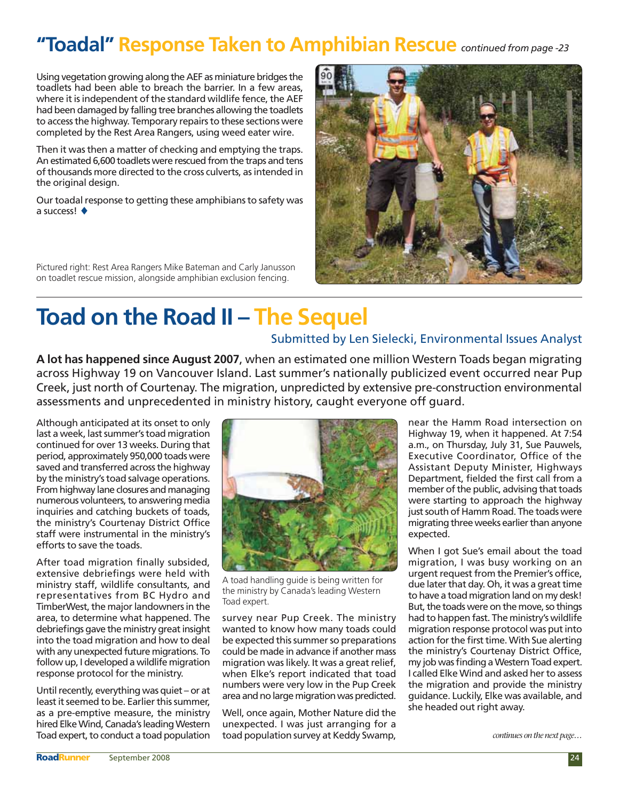## **"Toadal" Response Taken to Amphibian Rescue** *continued from page -23*

Using vegetation growing along the AEF as miniature bridges the toadlets had been able to breach the barrier. In a few areas, where it is independent of the standard wildlife fence, the AEF had been damaged by falling tree branches allowing the toadlets to access the highway. Temporary repairs to these sections were completed by the Rest Area Rangers, using weed eater wire.

Then it was then a matter of checking and emptying the traps. An estimated 6,600 toadlets were rescued from the traps and tens of thousands more directed to the cross culverts, as intended in the original design.

Our toadal response to getting these amphibians to safety was a success!  $\triangleleft$ 

Pictured right: Rest Area Rangers Mike Bateman and Carly Janusson on toadlet rescue mission, alongside amphibian exclusion fencing.



## **Toad on the Road II – The Sequel**

## Submitted by Len Sielecki, Environmental Issues Analyst

**A lot has happened since August 2007**, when an estimated one million Western Toads began migrating across Highway 19 on Vancouver Island. Last summer's nationally publicized event occurred near Pup Creek, just north of Courtenay. The migration, unpredicted by extensive pre-construction environmental assessments and unprecedented in ministry history, caught everyone off guard.

Although anticipated at its onset to only last a week, last summer's toad migration continued for over 13 weeks. During that period, approximately 950,000 toads were saved and transferred across the highway by the ministry's toad salvage operations. From highway lane closures and managing numerous volunteers, to answering media inquiries and catching buckets of toads, the ministry's Courtenay District Office staff were instrumental in the ministry's efforts to save the toads.

After toad migration finally subsided, extensive debriefings were held with ministry staff, wildlife consultants, and representatives from BC Hydro and TimberWest, the major landowners in the area, to determine what happened. The debriefings gave the ministry great insight into the toad migration and how to deal with any unexpected future migrations. To follow up, I developed a wildlife migration response protocol for the ministry.

Until recently, everything was quiet – or at least it seemed to be. Earlier this summer, as a pre-emptive measure, the ministry hired Elke Wind, Canada's leading Western Toad expert, to conduct a toad population



A toad handling guide is being written for the ministry by Canada's leading Western Toad expert.

survey near Pup Creek. The ministry wanted to know how many toads could be expected this summer so preparations could be made in advance if another mass migration was likely. It was a great relief, when Elke's report indicated that toad numbers were very low in the Pup Creek area and no large migration was predicted.

Well, once again, Mother Nature did the unexpected. I was just arranging for a toad population survey at Keddy Swamp, near the Hamm Road intersection on Highway 19, when it happened. At 7:54 a.m., on Thursday, July 31, Sue Pauwels, Executive Coordinator, Office of the Assistant Deputy Minister, Highways Department, fielded the first call from a member of the public, advising that toads were starting to approach the highway just south of Hamm Road. The toads were migrating three weeks earlier than anyone expected.

When I got Sue's email about the toad migration, I was busy working on an urgent request from the Premier's office, due later that day. Oh, it was a great time to have a toad migration land on my desk! But, the toads were on the move, so things had to happen fast. The ministry's wildlife migration response protocol was put into action for the first time. With Sue alerting the ministry's Courtenay District Office, my job was finding a Western Toad expert. I called Elke Wind and asked her to assess the migration and provide the ministry guidance. Luckily, Elke was available, and she headed out right away.

*continues on the next page…*